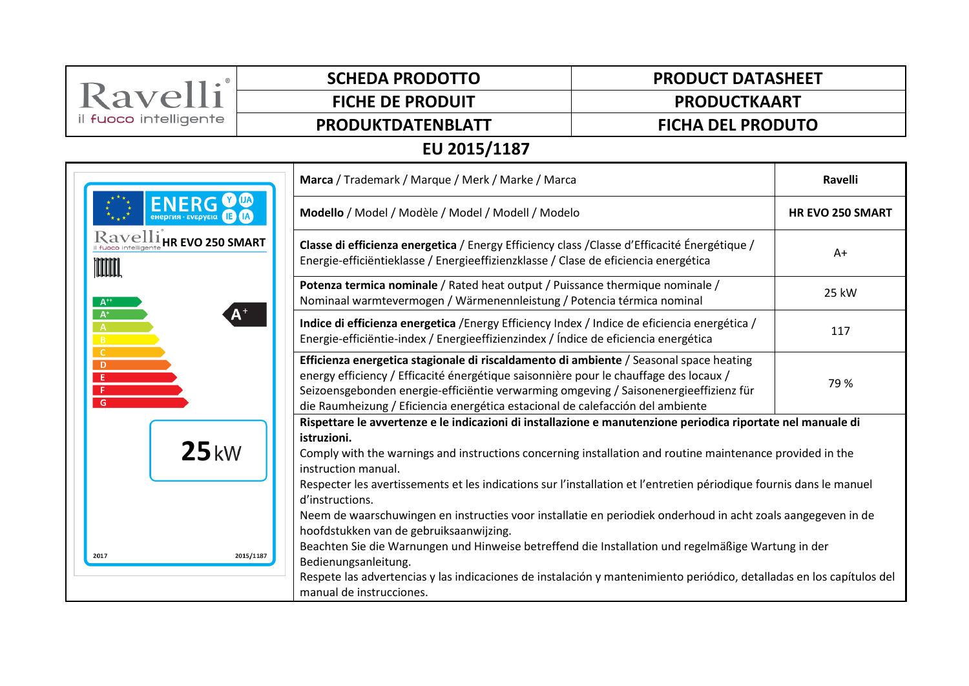| Ravelli                                                                                                   | <b>SCHEDA PRODOTTO</b>                                                                                                                                                                                                                                                                                                                                     | <b>PRODUCT DATASHEET</b>                                                                                                                                                             |  |  |  |  |
|-----------------------------------------------------------------------------------------------------------|------------------------------------------------------------------------------------------------------------------------------------------------------------------------------------------------------------------------------------------------------------------------------------------------------------------------------------------------------------|--------------------------------------------------------------------------------------------------------------------------------------------------------------------------------------|--|--|--|--|
|                                                                                                           | <b>FICHE DE PRODUIT</b>                                                                                                                                                                                                                                                                                                                                    | <b>PRODUCTKAART</b>                                                                                                                                                                  |  |  |  |  |
| il fuoco intelligente                                                                                     | <b>PRODUKTDATENBLATT</b>                                                                                                                                                                                                                                                                                                                                   | <b>FICHA DEL PRODUTO</b>                                                                                                                                                             |  |  |  |  |
| EU 2015/1187                                                                                              |                                                                                                                                                                                                                                                                                                                                                            |                                                                                                                                                                                      |  |  |  |  |
|                                                                                                           |                                                                                                                                                                                                                                                                                                                                                            | Marca / Trademark / Marque / Merk / Marke / Marca                                                                                                                                    |  |  |  |  |
|                                                                                                           |                                                                                                                                                                                                                                                                                                                                                            | Modello / Model / Modèle / Model / Modell / Modelo                                                                                                                                   |  |  |  |  |
| $\operatorname{Rayellim}_{\text{\tiny{H-}H\tiny{C}}\text{-}H\mathbf{R}}$ EVO 250 SMART<br><b>TOOTIOOL</b> | Classe di efficienza energetica / Energy Efficiency class / Classe d'Efficacité Énergétique /<br>Energie-efficiëntieklasse / Energieeffizienzklasse / Clase de eficiencia energética                                                                                                                                                                       | $A+$                                                                                                                                                                                 |  |  |  |  |
| $A^+$                                                                                                     |                                                                                                                                                                                                                                                                                                                                                            | Potenza termica nominale / Rated heat output / Puissance thermique nominale /<br>Nominaal warmtevermogen / Wärmenennleistung / Potencia térmica nominal                              |  |  |  |  |
| $A^*$<br>B                                                                                                |                                                                                                                                                                                                                                                                                                                                                            | Indice di efficienza energetica / Energy Efficiency Index / Indice de eficiencia energética /<br>Energie-efficiëntie-index / Energieeffizienzindex / Índice de eficiencia energética |  |  |  |  |
| <b>C</b><br>$\overline{D}$<br>-E<br>F.<br>G                                                               | Efficienza energetica stagionale di riscaldamento di ambiente / Seasonal space heating<br>energy efficiency / Efficacité énergétique saisonnière pour le chauffage des locaux /<br>Seizoensgebonden energie-efficiëntie verwarming omgeving / Saisonenergieeffizienz für<br>die Raumheizung / Eficiencia energética estacional de calefacción del ambiente |                                                                                                                                                                                      |  |  |  |  |
|                                                                                                           |                                                                                                                                                                                                                                                                                                                                                            | Rispettare le avvertenze e le indicazioni di installazione e manutenzione periodica riportate nel manuale di                                                                         |  |  |  |  |
| 25kW                                                                                                      | istruzioni.<br>Comply with the warnings and instructions concerning installation and routine maintenance provided in the<br>instruction manual.                                                                                                                                                                                                            |                                                                                                                                                                                      |  |  |  |  |
|                                                                                                           |                                                                                                                                                                                                                                                                                                                                                            | Respecter les avertissements et les indications sur l'installation et l'entretien périodique fournis dans le manuel<br>d'instructions.                                               |  |  |  |  |
|                                                                                                           | hoofdstukken van de gebruiksaanwijzing.                                                                                                                                                                                                                                                                                                                    | Neem de waarschuwingen en instructies voor installatie en periodiek onderhoud in acht zoals aangegeven in de                                                                         |  |  |  |  |
| 2017                                                                                                      | 2015/1187<br>Bedienungsanleitung.                                                                                                                                                                                                                                                                                                                          | Beachten Sie die Warnungen und Hinweise betreffend die Installation und regelmäßige Wartung in der                                                                                   |  |  |  |  |
|                                                                                                           | manual de instrucciones.                                                                                                                                                                                                                                                                                                                                   | Respete las advertencias y las indicaciones de instalación y mantenimiento periódico, detalladas en los capítulos del                                                                |  |  |  |  |